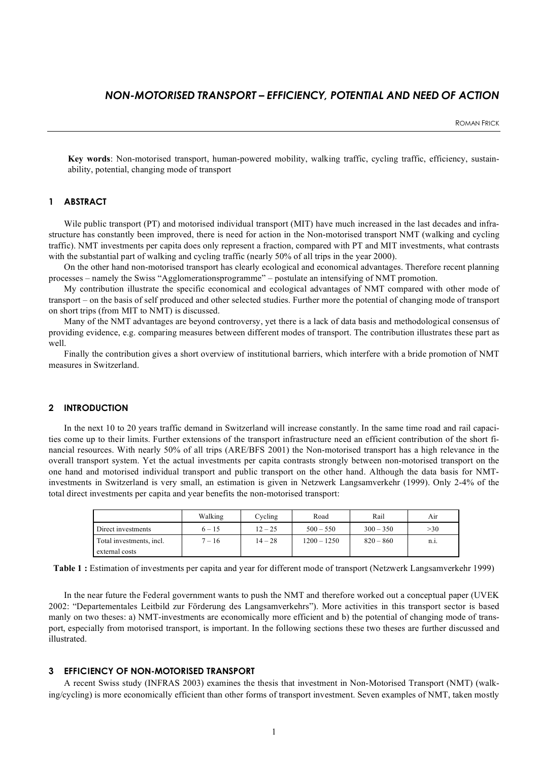# *NON-MOTORISED TRANSPORT – EFFICIENCY, POTENTIAL AND NEED OF ACTION*

**Key words**: Non-motorised transport, human-powered mobility, walking traffic, cycling traffic, efficiency, sustainability, potential, changing mode of transport

### **1 ABSTRACT**

Wile public transport (PT) and motorised individual transport (MIT) have much increased in the last decades and infrastructure has constantly been improved, there is need for action in the Non-motorised transport NMT (walking and cycling traffic). NMT investments per capita does only represent a fraction, compared with PT and MIT investments, what contrasts with the substantial part of walking and cycling traffic (nearly 50% of all trips in the year 2000).

On the other hand non-motorised transport has clearly ecological and economical advantages. Therefore recent planning processes – namely the Swiss "Agglomerationsprogramme" – postulate an intensifying of NMT promotion.

My contribution illustrate the specific economical and ecological advantages of NMT compared with other mode of transport – on the basis of self produced and other selected studies. Further more the potential of changing mode of transport on short trips (from MIT to NMT) is discussed.

Many of the NMT advantages are beyond controversy, yet there is a lack of data basis and methodological consensus of providing evidence, e.g. comparing measures between different modes of transport. The contribution illustrates these part as well

Finally the contribution gives a short overview of institutional barriers, which interfere with a bride promotion of NMT measures in Switzerland.

### **2 INTRODUCTION**

In the next 10 to 20 years traffic demand in Switzerland will increase constantly. In the same time road and rail capacities come up to their limits. Further extensions of the transport infrastructure need an efficient contribution of the short financial resources. With nearly 50% of all trips (ARE/BFS 2001) the Non-motorised transport has a high relevance in the overall transport system. Yet the actual investments per capita contrasts strongly between non-motorised transport on the one hand and motorised individual transport and public transport on the other hand. Although the data basis for NMTinvestments in Switzerland is very small, an estimation is given in Netzwerk Langsamverkehr (1999). Only 2-4% of the total direct investments per capita and year benefits the non-motorised transport:

|                          | Walking  | Cycling   | Road          | Rail        | Air      |
|--------------------------|----------|-----------|---------------|-------------|----------|
| Direct investments       | $6 - 15$ | $12 - 25$ | $500 - 550$   | $300 - 350$ | >30      |
| Total investments, incl. | $7 - 16$ | $14 - 28$ | $1200 - 1250$ | $820 - 860$ | $n_{.1}$ |
| external costs           |          |           |               |             |          |

**Table 1 :** Estimation of investments per capita and year for different mode of transport (Netzwerk Langsamverkehr 1999)

In the near future the Federal government wants to push the NMT and therefore worked out a conceptual paper (UVEK 2002: "Departementales Leitbild zur Förderung des Langsamverkehrs"). More activities in this transport sector is based manly on two theses: a) NMT-investments are economically more efficient and b) the potential of changing mode of transport, especially from motorised transport, is important. In the following sections these two theses are further discussed and illustrated.

### **3 EFFICIENCY OF NON-MOTORISED TRANSPORT**

A recent Swiss study (INFRAS 2003) examines the thesis that investment in Non-Motorised Transport (NMT) (walking/cycling) is more economically efficient than other forms of transport investment. Seven examples of NMT, taken mostly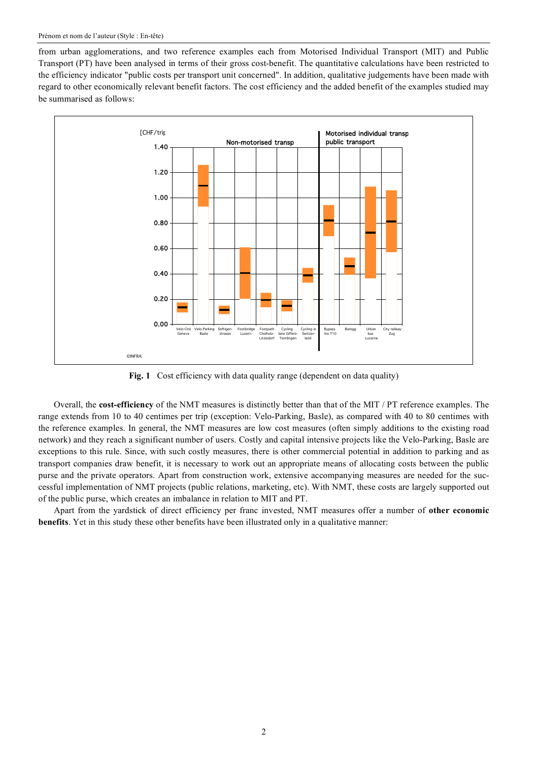from urban agglomerations, and two reference examples each from Motorised Individual Transport (MIT) and Public Transport (PT) have been analysed in terms of their gross cost-benefit. The quantitative calculations have been restricted to the efficiency indicator "public costs per transport unit concerned". In addition, qualitative judgements have been made with regard to other economically relevant benefit factors. The cost efficiency and the added benefit of the examples studied may be summarised as follows:



**Fig. 1** Cost efficiency with data quality range (dependent on data quality)

Overall, the **cost-efficiency** of the NMT measures is distinctly better than that of the MIT / PT reference examples. The range extends from 10 to 40 centimes per trip (exception: Velo-Parking, Basle), as compared with 40 to 80 centimes with the reference examples. In general, the NMT measures are low cost measures (often simply additions to the existing road network) and they reach a significant number of users. Costly and capital intensive projects like the Velo-Parking, Basle are exceptions to this rule. Since, with such costly measures, there is other commercial potential in addition to parking and as transport companies draw benefit, it is necessary to work out an appropriate means of allocating costs between the public purse and the private operators. Apart from construction work, extensive accompanying measures are needed for the successful implementation of NMT projects (public relations, marketing, etc). With NMT, these costs are largely supported out of the public purse, which creates an imbalance in relation to MIT and PT.

Apart from the yardstick of direct efficiency per franc invested, NMT measures offer a number of **other economic benefits**. Yet in this study these other benefits have been illustrated only in a qualitative manner: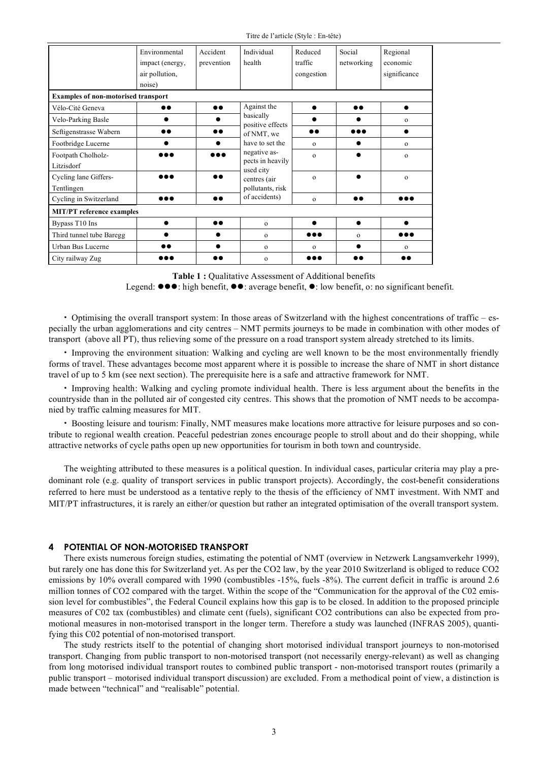Titre de l'article (Style : En-tête)

|                                            | Environmental<br>impact (energy,<br>air pollution,<br>noise) | Accident<br>prevention | Individual<br>health             | Reduced<br>traffic<br>congestion | Social<br>networking | Regional<br>economic<br>significance |  |  |  |  |
|--------------------------------------------|--------------------------------------------------------------|------------------------|----------------------------------|----------------------------------|----------------------|--------------------------------------|--|--|--|--|
| <b>Examples of non-motorised transport</b> |                                                              |                        |                                  |                                  |                      |                                      |  |  |  |  |
| Vélo-Cité Geneva                           |                                                              | $\bullet\bullet$       | Against the                      |                                  | $\bullet\bullet$     |                                      |  |  |  |  |
| Velo-Parking Basle                         |                                                              |                        | basically<br>positive effects    |                                  |                      | $\mathbf{O}$                         |  |  |  |  |
| Seftigenstrasse Wabern                     | 88                                                           | $\bullet\bullet$       | of NMT, we                       |                                  |                      |                                      |  |  |  |  |
| Footbridge Lucerne                         |                                                              |                        | have to set the                  | $\Omega$                         |                      | $\mathbf{O}$                         |  |  |  |  |
| Footpath Cholholz-                         |                                                              |                        | negative as-<br>pects in heavily | $\mathbf{o}$                     |                      | $\mathbf{O}$                         |  |  |  |  |
| Litzisdorf                                 |                                                              |                        | used city                        |                                  |                      |                                      |  |  |  |  |
| Cycling lane Giffers-                      |                                                              |                        | centres (air                     | $\Omega$                         |                      | $\Omega$                             |  |  |  |  |
| Tentlingen                                 |                                                              |                        | pollutants, risk                 |                                  |                      |                                      |  |  |  |  |
| Cycling in Switzerland                     | 000                                                          | $\bullet\bullet$       | of accidents)                    | $\mathbf{O}$                     | $\bullet\bullet$     | $\bullet\bullet\bullet$              |  |  |  |  |
| <b>MIT/PT</b> reference examples           |                                                              |                        |                                  |                                  |                      |                                      |  |  |  |  |
| Bypass T10 Ins                             |                                                              | $\bullet\bullet$       | $\mathbf{O}$                     | ●                                | $\bullet$            |                                      |  |  |  |  |
| Third tunnel tube Baregg                   |                                                              |                        | $\mathbf{O}$                     |                                  | $\Omega$             | $\bullet\bullet\bullet$              |  |  |  |  |
| Urban Bus Lucerne                          |                                                              |                        | $\mathbf{O}$                     | $\mathbf{o}$                     |                      | $\mathbf{O}$                         |  |  |  |  |
| City railway Zug                           |                                                              | $\bullet\bullet$       | $\mathbf{O}$                     |                                  | $\bullet\bullet$     | $\bullet\bullet$                     |  |  |  |  |

**Table 1 :** Qualitative Assessment of Additional benefits

Legend:  $\bullet \bullet \bullet$ : high benefit,  $\bullet \bullet$ : average benefit,  $\bullet$ : low benefit, o: no significant benefit.

• Optimising the overall transport system: In those areas of Switzerland with the highest concentrations of traffic – especially the urban agglomerations and city centres – NMT permits journeys to be made in combination with other modes of transport (above all PT), thus relieving some of the pressure on a road transport system already stretched to its limits.

• Improving the environment situation: Walking and cycling are well known to be the most environmentally friendly forms of travel. These advantages become most apparent where it is possible to increase the share of NMT in short distance travel of up to 5 km (see next section). The prerequisite here is a safe and attractive framework for NMT.

• Improving health: Walking and cycling promote individual health. There is less argument about the benefits in the countryside than in the polluted air of congested city centres. This shows that the promotion of NMT needs to be accompanied by traffic calming measures for MIT.

• Boosting leisure and tourism: Finally, NMT measures make locations more attractive for leisure purposes and so contribute to regional wealth creation. Peaceful pedestrian zones encourage people to stroll about and do their shopping, while attractive networks of cycle paths open up new opportunities for tourism in both town and countryside.

The weighting attributed to these measures is a political question. In individual cases, particular criteria may play a predominant role (e.g. quality of transport services in public transport projects). Accordingly, the cost-benefit considerations referred to here must be understood as a tentative reply to the thesis of the efficiency of NMT investment. With NMT and MIT/PT infrastructures, it is rarely an either/or question but rather an integrated optimisation of the overall transport system.

#### **4 POTENTIAL OF NON-MOTORISED TRANSPORT**

There exists numerous foreign studies, estimating the potential of NMT (overview in Netzwerk Langsamverkehr 1999), but rarely one has done this for Switzerland yet. As per the CO2 law, by the year 2010 Switzerland is obliged to reduce CO2 emissions by 10% overall compared with 1990 (combustibles -15%, fuels -8%). The current deficit in traffic is around 2.6 million tonnes of CO2 compared with the target. Within the scope of the "Communication for the approval of the C02 emission level for combustibles", the Federal Council explains how this gap is to be closed. In addition to the proposed principle measures of C02 tax (combustibles) and climate cent (fuels), significant CO2 contributions can also be expected from promotional measures in non-motorised transport in the longer term. Therefore a study was launched (INFRAS 2005), quantifying this C02 potential of non-motorised transport.

The study restricts itself to the potential of changing short motorised individual transport journeys to non-motorised transport. Changing from public transport to non-motorised transport (not necessarily energy-relevant) as well as changing from long motorised individual transport routes to combined public transport - non-motorised transport routes (primarily a public transport – motorised individual transport discussion) are excluded. From a methodical point of view, a distinction is made between "technical" and "realisable" potential.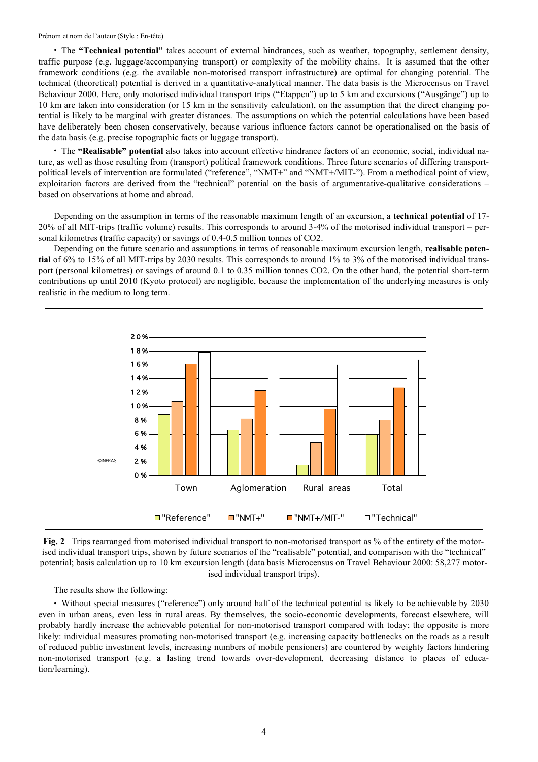• The **"Technical potential"** takes account of external hindrances, such as weather, topography, settlement density, traffic purpose (e.g. luggage/accompanying transport) or complexity of the mobility chains. It is assumed that the other framework conditions (e.g. the available non-motorised transport infrastructure) are optimal for changing potential. The technical (theoretical) potential is derived in a quantitative-analytical manner. The data basis is the Microcensus on Travel Behaviour 2000. Here, only motorised individual transport trips ("Etappen") up to 5 km and excursions ("Ausgänge") up to 10 km are taken into consideration (or 15 km in the sensitivity calculation), on the assumption that the direct changing potential is likely to be marginal with greater distances. The assumptions on which the potential calculations have been based have deliberately been chosen conservatively, because various influence factors cannot be operationalised on the basis of the data basis (e.g. precise topographic facts or luggage transport).

• The **"Realisable" potential** also takes into account effective hindrance factors of an economic, social, individual nature, as well as those resulting from (transport) political framework conditions. Three future scenarios of differing transportpolitical levels of intervention are formulated ("reference", "NMT+" and "NMT+/MIT-"). From a methodical point of view, exploitation factors are derived from the "technical" potential on the basis of argumentative-qualitative considerations – based on observations at home and abroad.

Depending on the assumption in terms of the reasonable maximum length of an excursion, a **technical potential** of 17- 20% of all MIT-trips (traffic volume) results. This corresponds to around 3-4% of the motorised individual transport – personal kilometres (traffic capacity) or savings of 0.4-0.5 million tonnes of CO2.

Depending on the future scenario and assumptions in terms of reasonable maximum excursion length, **realisable potential** of 6% to 15% of all MIT-trips by 2030 results. This corresponds to around 1% to 3% of the motorised individual transport (personal kilometres) or savings of around 0.1 to 0.35 million tonnes CO2. On the other hand, the potential short-term contributions up until 2010 (Kyoto protocol) are negligible, because the implementation of the underlying measures is only realistic in the medium to long term.





The results show the following:

• Without special measures ("reference") only around half of the technical potential is likely to be achievable by 2030 even in urban areas, even less in rural areas. By themselves, the socio-economic developments, forecast elsewhere, will probably hardly increase the achievable potential for non-motorised transport compared with today; the opposite is more likely: individual measures promoting non-motorised transport (e.g. increasing capacity bottlenecks on the roads as a result of reduced public investment levels, increasing numbers of mobile pensioners) are countered by weighty factors hindering non-motorised transport (e.g. a lasting trend towards over-development, decreasing distance to places of education/learning).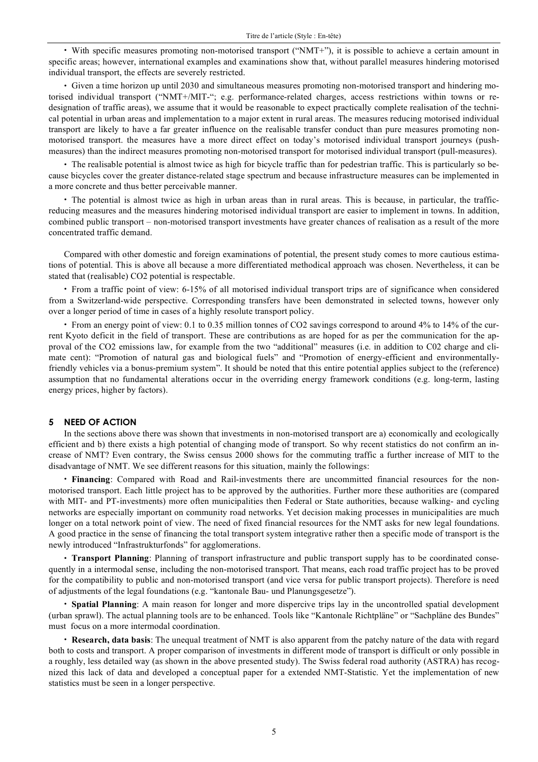• With specific measures promoting non-motorised transport ("NMT+"), it is possible to achieve a certain amount in specific areas; however, international examples and examinations show that, without parallel measures hindering motorised individual transport, the effects are severely restricted.

• Given a time horizon up until 2030 and simultaneous measures promoting non-motorised transport and hindering motorised individual transport ("NMT+/MIT-"; e.g. performance-related charges, access restrictions within towns or redesignation of traffic areas), we assume that it would be reasonable to expect practically complete realisation of the technical potential in urban areas and implementation to a major extent in rural areas. The measures reducing motorised individual transport are likely to have a far greater influence on the realisable transfer conduct than pure measures promoting nonmotorised transport. the measures have a more direct effect on today's motorised individual transport journeys (pushmeasures) than the indirect measures promoting non-motorised transport for motorised individual transport (pull-measures).

• The realisable potential is almost twice as high for bicycle traffic than for pedestrian traffic. This is particularly so because bicycles cover the greater distance-related stage spectrum and because infrastructure measures can be implemented in a more concrete and thus better perceivable manner.

• The potential is almost twice as high in urban areas than in rural areas. This is because, in particular, the trafficreducing measures and the measures hindering motorised individual transport are easier to implement in towns. In addition, combined public transport – non-motorised transport investments have greater chances of realisation as a result of the more concentrated traffic demand.

Compared with other domestic and foreign examinations of potential, the present study comes to more cautious estimations of potential. This is above all because a more differentiated methodical approach was chosen. Nevertheless, it can be stated that (realisable) CO2 potential is respectable.

• From a traffic point of view: 6-15% of all motorised individual transport trips are of significance when considered from a Switzerland-wide perspective. Corresponding transfers have been demonstrated in selected towns, however only over a longer period of time in cases of a highly resolute transport policy.

• From an energy point of view: 0.1 to 0.35 million tonnes of CO2 savings correspond to around 4% to 14% of the current Kyoto deficit in the field of transport. These are contributions as are hoped for as per the communication for the approval of the CO2 emissions law, for example from the two "additional" measures (i.e. in addition to C02 charge and climate cent): "Promotion of natural gas and biological fuels" and "Promotion of energy-efficient and environmentallyfriendly vehicles via a bonus-premium system". It should be noted that this entire potential applies subject to the (reference) assumption that no fundamental alterations occur in the overriding energy framework conditions (e.g. long-term, lasting energy prices, higher by factors).

#### **5 NEED OF ACTION**

In the sections above there was shown that investments in non-motorised transport are a) economically and ecologically efficient and b) there exists a high potential of changing mode of transport. So why recent statistics do not confirm an increase of NMT? Even contrary, the Swiss census 2000 shows for the commuting traffic a further increase of MIT to the disadvantage of NMT. We see different reasons for this situation, mainly the followings:

• **Financing**: Compared with Road and Rail-investments there are uncommitted financial resources for the nonmotorised transport. Each little project has to be approved by the authorities. Further more these authorities are (compared with MIT- and PT-investments) more often municipalities then Federal or State authorities, because walking- and cycling networks are especially important on community road networks. Yet decision making processes in municipalities are much longer on a total network point of view. The need of fixed financial resources for the NMT asks for new legal foundations. A good practice in the sense of financing the total transport system integrative rather then a specific mode of transport is the newly introduced "Infrastrukturfonds" for agglomerations.

• **Transport Planning**: Planning of transport infrastructure and public transport supply has to be coordinated consequently in a intermodal sense, including the non-motorised transport. That means, each road traffic project has to be proved for the compatibility to public and non-motorised transport (and vice versa for public transport projects). Therefore is need of adjustments of the legal foundations (e.g. "kantonale Bau- und Planungsgesetze").

• **Spatial Planning**: A main reason for longer and more dispercive trips lay in the uncontrolled spatial development (urban sprawl). The actual planning tools are to be enhanced. Tools like "Kantonale Richtpläne" or "Sachpläne des Bundes" must focus on a more intermodal coordination.

• **Research, data basis**: The unequal treatment of NMT is also apparent from the patchy nature of the data with regard both to costs and transport. A proper comparison of investments in different mode of transport is difficult or only possible in a roughly, less detailed way (as shown in the above presented study). The Swiss federal road authority (ASTRA) has recognized this lack of data and developed a conceptual paper for a extended NMT-Statistic. Yet the implementation of new statistics must be seen in a longer perspective.